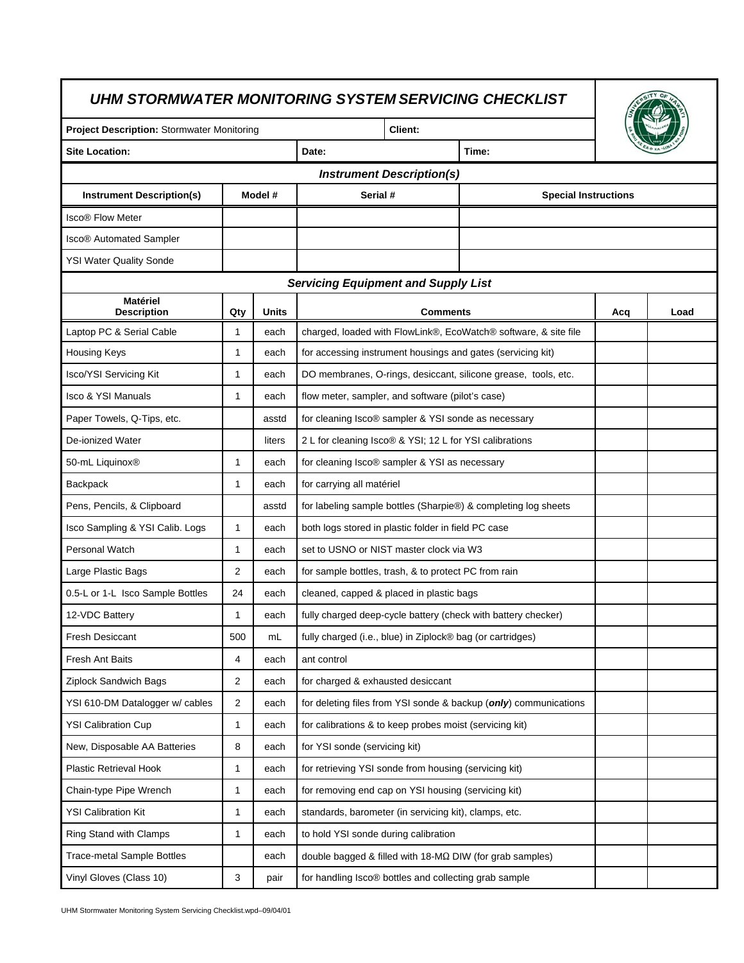| <b>Project Description: Stormwater Monitoring</b> |                |              | <b>Client:</b>                                                   |     |      |  |  |  |  |
|---------------------------------------------------|----------------|--------------|------------------------------------------------------------------|-----|------|--|--|--|--|
| <b>Site Location:</b>                             |                |              | Date:<br>Time:                                                   |     |      |  |  |  |  |
|                                                   |                |              | <b>Instrument Description(s)</b>                                 |     |      |  |  |  |  |
| <b>Instrument Description(s)</b>                  |                | Model #      | Serial #<br><b>Special Instructions</b>                          |     |      |  |  |  |  |
| <b>Isco® Flow Meter</b>                           |                |              |                                                                  |     |      |  |  |  |  |
| <b>Isco® Automated Sampler</b>                    |                |              |                                                                  |     |      |  |  |  |  |
| <b>YSI Water Quality Sonde</b>                    |                |              |                                                                  |     |      |  |  |  |  |
|                                                   |                |              | <b>Servicing Equipment and Supply List</b>                       |     |      |  |  |  |  |
| <b>Matériel</b><br><b>Description</b>             | Qty            | <b>Units</b> | <b>Comments</b>                                                  | Acq | Load |  |  |  |  |
| Laptop PC & Serial Cable                          | 1              | each         | charged, loaded with FlowLink®, EcoWatch® software, & site file  |     |      |  |  |  |  |
| Housing Keys                                      | 1              | each         | for accessing instrument housings and gates (servicing kit)      |     |      |  |  |  |  |
| <b>Isco/YSI Servicing Kit</b>                     | $\mathbf{1}$   | each         | DO membranes, O-rings, desiccant, silicone grease, tools, etc.   |     |      |  |  |  |  |
| <b>Isco &amp; YSI Manuals</b>                     | 1              | each         | flow meter, sampler, and software (pilot's case)                 |     |      |  |  |  |  |
| Paper Towels, Q-Tips, etc.                        |                | asstd        | for cleaning Isco® sampler & YSI sonde as necessary              |     |      |  |  |  |  |
| De-ionized Water                                  |                | liters       | 2 L for cleaning Isco® & YSI; 12 L for YSI calibrations          |     |      |  |  |  |  |
| 50-mL Liquinox <sup>®</sup>                       | $\mathbf{1}$   | each         | for cleaning Isco® sampler & YSI as necessary                    |     |      |  |  |  |  |
| Backpack                                          | 1              | each         | for carrying all matériel                                        |     |      |  |  |  |  |
| Pens, Pencils, & Clipboard                        |                | asstd        | for labeling sample bottles (Sharpie®) & completing log sheets   |     |      |  |  |  |  |
| Isco Sampling & YSI Calib. Logs                   | $\mathbf{1}$   | each         | both logs stored in plastic folder in field PC case              |     |      |  |  |  |  |
| <b>Personal Watch</b>                             | $\mathbf{1}$   | each         | set to USNO or NIST master clock via W3                          |     |      |  |  |  |  |
| Large Plastic Bags                                | 2              | each         | for sample bottles, trash, & to protect PC from rain             |     |      |  |  |  |  |
| 0.5-L or 1-L Isco Sample Bottles                  | 24             | each         | cleaned, capped & placed in plastic bags                         |     |      |  |  |  |  |
| 12-VDC Battery                                    | 1              | each         | fully charged deep-cycle battery (check with battery checker)    |     |      |  |  |  |  |
| <b>Fresh Desiccant</b>                            | 500            | mL           | fully charged (i.e., blue) in Ziplock® bag (or cartridges)       |     |      |  |  |  |  |
| Fresh Ant Baits                                   | 4              | each         | ant control                                                      |     |      |  |  |  |  |
| Ziplock Sandwich Bags                             | $\overline{2}$ | each         | for charged & exhausted desiccant                                |     |      |  |  |  |  |
| YSI 610-DM Datalogger w/ cables                   | $\overline{2}$ | each         | for deleting files from YSI sonde & backup (only) communications |     |      |  |  |  |  |
| <b>YSI Calibration Cup</b>                        | 1              | each         | for calibrations & to keep probes moist (servicing kit)          |     |      |  |  |  |  |
| New, Disposable AA Batteries                      | 8              | each         | for YSI sonde (servicing kit)                                    |     |      |  |  |  |  |
| Plastic Retrieval Hook                            | $\mathbf{1}$   | each         | for retrieving YSI sonde from housing (servicing kit)            |     |      |  |  |  |  |
| Chain-type Pipe Wrench                            | 1              | each         | for removing end cap on YSI housing (servicing kit)              |     |      |  |  |  |  |
| <b>YSI Calibration Kit</b>                        | 1              | each         | standards, barometer (in servicing kit), clamps, etc.            |     |      |  |  |  |  |
| Ring Stand with Clamps                            | 1              | each         | to hold YSI sonde during calibration                             |     |      |  |  |  |  |
| <b>Trace-metal Sample Bottles</b>                 |                | each         | double bagged & filled with 18-MΩ DIW (for grab samples)         |     |      |  |  |  |  |
| Vinyl Gloves (Class 10)                           | 3              | pair         | for handling Isco® bottles and collecting grab sample            |     |      |  |  |  |  |

UHM Stormwater Monitoring System Servicing Checklist.wpd–09/04/01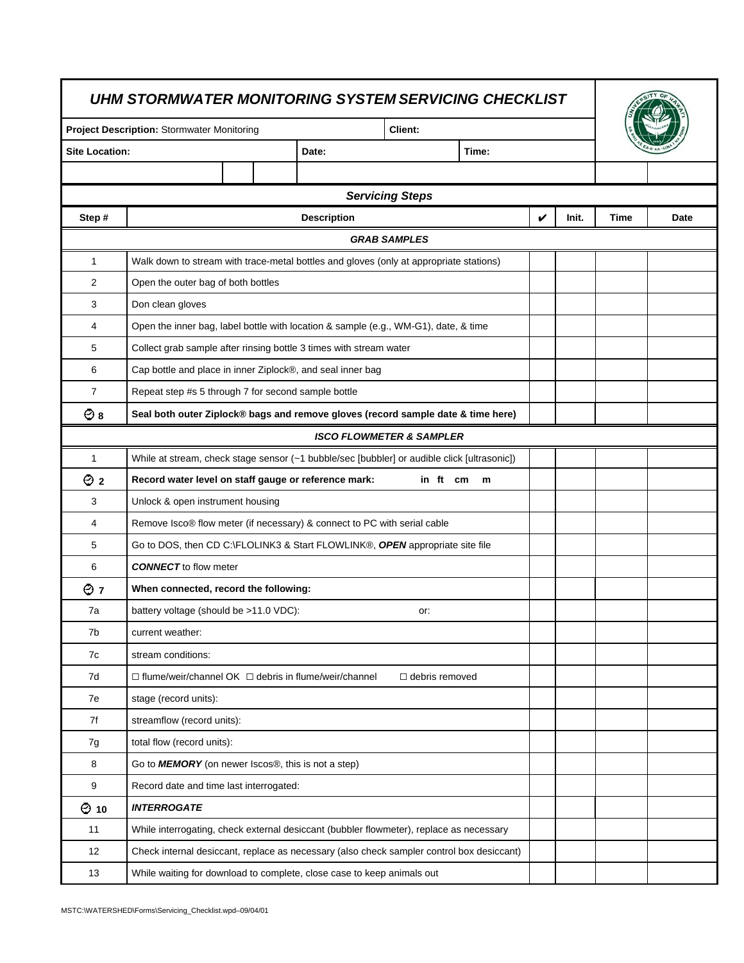| UHM STORMWATER MONITORING SYSTEM SERVICING CHECKLIST                                                    |                                                                                             |                                                                                  |  |                    |                                     |  |   |       |      |      |
|---------------------------------------------------------------------------------------------------------|---------------------------------------------------------------------------------------------|----------------------------------------------------------------------------------|--|--------------------|-------------------------------------|--|---|-------|------|------|
| <b>Project Description: Stormwater Monitoring</b><br>Client:<br><b>Site Location:</b><br>Date:<br>Time: |                                                                                             |                                                                                  |  |                    |                                     |  |   |       |      |      |
|                                                                                                         |                                                                                             |                                                                                  |  |                    |                                     |  |   |       |      |      |
|                                                                                                         |                                                                                             |                                                                                  |  |                    |                                     |  |   |       |      |      |
|                                                                                                         |                                                                                             |                                                                                  |  |                    | <b>Servicing Steps</b>              |  |   |       |      |      |
| Step#                                                                                                   |                                                                                             |                                                                                  |  | <b>Description</b> |                                     |  | V | Init. | Time | Date |
|                                                                                                         |                                                                                             |                                                                                  |  |                    | <b>GRAB SAMPLES</b>                 |  |   |       |      |      |
| $\mathbf{1}$                                                                                            | Walk down to stream with trace-metal bottles and gloves (only at appropriate stations)      |                                                                                  |  |                    |                                     |  |   |       |      |      |
| $\overline{2}$                                                                                          | Open the outer bag of both bottles                                                          |                                                                                  |  |                    |                                     |  |   |       |      |      |
| 3                                                                                                       | Don clean gloves                                                                            |                                                                                  |  |                    |                                     |  |   |       |      |      |
| 4                                                                                                       | Open the inner bag, label bottle with location & sample (e.g., WM-G1), date, & time         |                                                                                  |  |                    |                                     |  |   |       |      |      |
| 5                                                                                                       | Collect grab sample after rinsing bottle 3 times with stream water                          |                                                                                  |  |                    |                                     |  |   |       |      |      |
| 6                                                                                                       | Cap bottle and place in inner Ziplock®, and seal inner bag                                  |                                                                                  |  |                    |                                     |  |   |       |      |      |
| $\overline{7}$                                                                                          | Repeat step #s 5 through 7 for second sample bottle                                         |                                                                                  |  |                    |                                     |  |   |       |      |      |
| $\odot$ 8                                                                                               |                                                                                             | Seal both outer Ziplock® bags and remove gloves (record sample date & time here) |  |                    |                                     |  |   |       |      |      |
|                                                                                                         |                                                                                             |                                                                                  |  |                    | <b>ISCO FLOWMETER &amp; SAMPLER</b> |  |   |       |      |      |
| $\mathbf{1}$                                                                                            | While at stream, check stage sensor (~1 bubble/sec [bubbler] or audible click [ultrasonic]) |                                                                                  |  |                    |                                     |  |   |       |      |      |
| $\odot$ 2                                                                                               | Record water level on staff gauge or reference mark:<br>in ft cm<br>m                       |                                                                                  |  |                    |                                     |  |   |       |      |      |
| 3                                                                                                       | Unlock & open instrument housing                                                            |                                                                                  |  |                    |                                     |  |   |       |      |      |
| 4                                                                                                       | Remove Isco® flow meter (if necessary) & connect to PC with serial cable                    |                                                                                  |  |                    |                                     |  |   |       |      |      |
| 5                                                                                                       | Go to DOS, then CD C:\FLOLINK3 & Start FLOWLINK®, OPEN appropriate site file                |                                                                                  |  |                    |                                     |  |   |       |      |      |
| 6                                                                                                       | <b>CONNECT</b> to flow meter                                                                |                                                                                  |  |                    |                                     |  |   |       |      |      |
| $\odot$ 7                                                                                               |                                                                                             | When connected, record the following:                                            |  |                    |                                     |  |   |       |      |      |
| 7a                                                                                                      | battery voltage (should be >11.0 VDC):                                                      |                                                                                  |  |                    | or:                                 |  |   |       |      |      |
| 7b                                                                                                      | current weather:                                                                            |                                                                                  |  |                    |                                     |  |   |       |      |      |
| 7c                                                                                                      | stream conditions:                                                                          |                                                                                  |  |                    |                                     |  |   |       |      |      |
| 7d                                                                                                      | $\Box$ flume/weir/channel OK $\Box$ debris in flume/weir/channel                            |                                                                                  |  |                    | $\Box$ debris removed               |  |   |       |      |      |
| 7e                                                                                                      | stage (record units):                                                                       |                                                                                  |  |                    |                                     |  |   |       |      |      |
| 7f                                                                                                      | streamflow (record units):                                                                  |                                                                                  |  |                    |                                     |  |   |       |      |      |
| 7g                                                                                                      | total flow (record units):                                                                  |                                                                                  |  |                    |                                     |  |   |       |      |      |
| 8                                                                                                       | Go to <b>MEMORY</b> (on newer Iscos <sup>®</sup> , this is not a step)                      |                                                                                  |  |                    |                                     |  |   |       |      |      |
| 9                                                                                                       | Record date and time last interrogated:                                                     |                                                                                  |  |                    |                                     |  |   |       |      |      |
| $\odot$ 10                                                                                              | <b>INTERROGATE</b>                                                                          |                                                                                  |  |                    |                                     |  |   |       |      |      |
| 11                                                                                                      | While interrogating, check external desiccant (bubbler flowmeter), replace as necessary     |                                                                                  |  |                    |                                     |  |   |       |      |      |
| 12                                                                                                      | Check internal desiccant, replace as necessary (also check sampler control box desiccant)   |                                                                                  |  |                    |                                     |  |   |       |      |      |
| 13                                                                                                      | While waiting for download to complete, close case to keep animals out                      |                                                                                  |  |                    |                                     |  |   |       |      |      |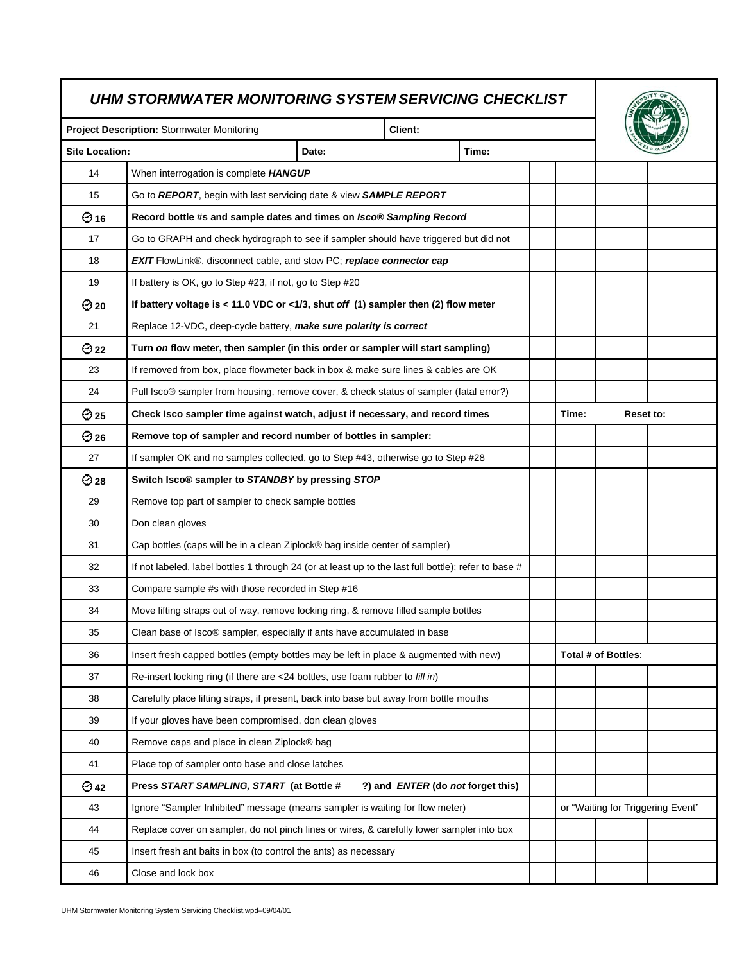## *UHM STORMWATER MONITORING SYSTEM SERVICING CHECKLIST*

| UHM STORMWATER MONITORING SYSTEM SERVICING CHECKLIST |                                                                                                      |       |                                          |       |  |                     |  |                                   |
|------------------------------------------------------|------------------------------------------------------------------------------------------------------|-------|------------------------------------------|-------|--|---------------------|--|-----------------------------------|
| Project Description: Stormwater Monitoring           |                                                                                                      |       | Client:                                  |       |  |                     |  |                                   |
| <b>Site Location:</b>                                |                                                                                                      | Date: |                                          | Time: |  |                     |  |                                   |
| 14                                                   | When interrogation is complete HANGUP                                                                |       |                                          |       |  |                     |  |                                   |
| 15                                                   | Go to REPORT, begin with last servicing date & view SAMPLE REPORT                                    |       |                                          |       |  |                     |  |                                   |
| $Q_{16}$                                             | Record bottle #s and sample dates and times on Isco® Sampling Record                                 |       |                                          |       |  |                     |  |                                   |
| 17                                                   | Go to GRAPH and check hydrograph to see if sampler should have triggered but did not                 |       |                                          |       |  |                     |  |                                   |
| 18                                                   | EXIT FlowLink®, disconnect cable, and stow PC; replace connector cap                                 |       |                                          |       |  |                     |  |                                   |
| 19                                                   | If battery is OK, go to Step #23, if not, go to Step #20                                             |       |                                          |       |  |                     |  |                                   |
| $\odot$ 20                                           | If battery voltage is < 11.0 VDC or <1/3, shut off $(1)$ sampler then $(2)$ flow meter               |       |                                          |       |  |                     |  |                                   |
| 21                                                   | Replace 12-VDC, deep-cycle battery, make sure polarity is correct                                    |       |                                          |       |  |                     |  |                                   |
| $\bigodot$ 22                                        | Turn on flow meter, then sampler (in this order or sampler will start sampling)                      |       |                                          |       |  |                     |  |                                   |
| 23                                                   | If removed from box, place flowmeter back in box & make sure lines & cables are OK                   |       |                                          |       |  |                     |  |                                   |
| 24                                                   | Pull Isco® sampler from housing, remove cover, & check status of sampler (fatal error?)              |       |                                          |       |  |                     |  |                                   |
| $\odot$ 25                                           | Check Isco sampler time against watch, adjust if necessary, and record times                         |       | Time:<br>Reset to:                       |       |  |                     |  |                                   |
| $\odot$ 26                                           | Remove top of sampler and record number of bottles in sampler:                                       |       |                                          |       |  |                     |  |                                   |
| 27                                                   | If sampler OK and no samples collected, go to Step #43, otherwise go to Step #28                     |       |                                          |       |  |                     |  |                                   |
| $\bigodot$ 28                                        | Switch Isco® sampler to STANDBY by pressing STOP                                                     |       |                                          |       |  |                     |  |                                   |
| 29                                                   | Remove top part of sampler to check sample bottles                                                   |       |                                          |       |  |                     |  |                                   |
| 30                                                   | Don clean gloves                                                                                     |       |                                          |       |  |                     |  |                                   |
| 31                                                   | Cap bottles (caps will be in a clean Ziplock® bag inside center of sampler)                          |       |                                          |       |  |                     |  |                                   |
| 32                                                   | If not labeled, label bottles 1 through 24 (or at least up to the last full bottle); refer to base # |       |                                          |       |  |                     |  |                                   |
| 33                                                   | Compare sample #s with those recorded in Step #16                                                    |       |                                          |       |  |                     |  |                                   |
| 34                                                   | Move lifting straps out of way, remove locking ring, & remove filled sample bottles                  |       |                                          |       |  |                     |  |                                   |
| 35                                                   | Clean base of Isco® sampler, especially if ants have accumulated in base                             |       |                                          |       |  |                     |  |                                   |
| 36                                                   | Insert fresh capped bottles (empty bottles may be left in place & augmented with new)                |       |                                          |       |  | Total # of Bottles: |  |                                   |
| 37                                                   | Re-insert locking ring (if there are <24 bottles, use foam rubber to fill in)                        |       |                                          |       |  |                     |  |                                   |
| 38                                                   | Carefully place lifting straps, if present, back into base but away from bottle mouths               |       |                                          |       |  |                     |  |                                   |
| 39                                                   | If your gloves have been compromised, don clean gloves                                               |       |                                          |       |  |                     |  |                                   |
| 40                                                   | Remove caps and place in clean Ziplock® bag                                                          |       |                                          |       |  |                     |  |                                   |
| 41                                                   | Place top of sampler onto base and close latches                                                     |       |                                          |       |  |                     |  |                                   |
| $\bigodot$ 42                                        | Press START SAMPLING, START (at Bottle #___                                                          |       | 2) and <i>ENTER</i> (do not forget this) |       |  |                     |  |                                   |
| 43                                                   | Ignore "Sampler Inhibited" message (means sampler is waiting for flow meter)                         |       |                                          |       |  |                     |  | or "Waiting for Triggering Event" |
| 44                                                   | Replace cover on sampler, do not pinch lines or wires, & carefully lower sampler into box            |       |                                          |       |  |                     |  |                                   |
| 45                                                   | Insert fresh ant baits in box (to control the ants) as necessary                                     |       |                                          |       |  |                     |  |                                   |
| 46                                                   | Close and lock box                                                                                   |       |                                          |       |  |                     |  |                                   |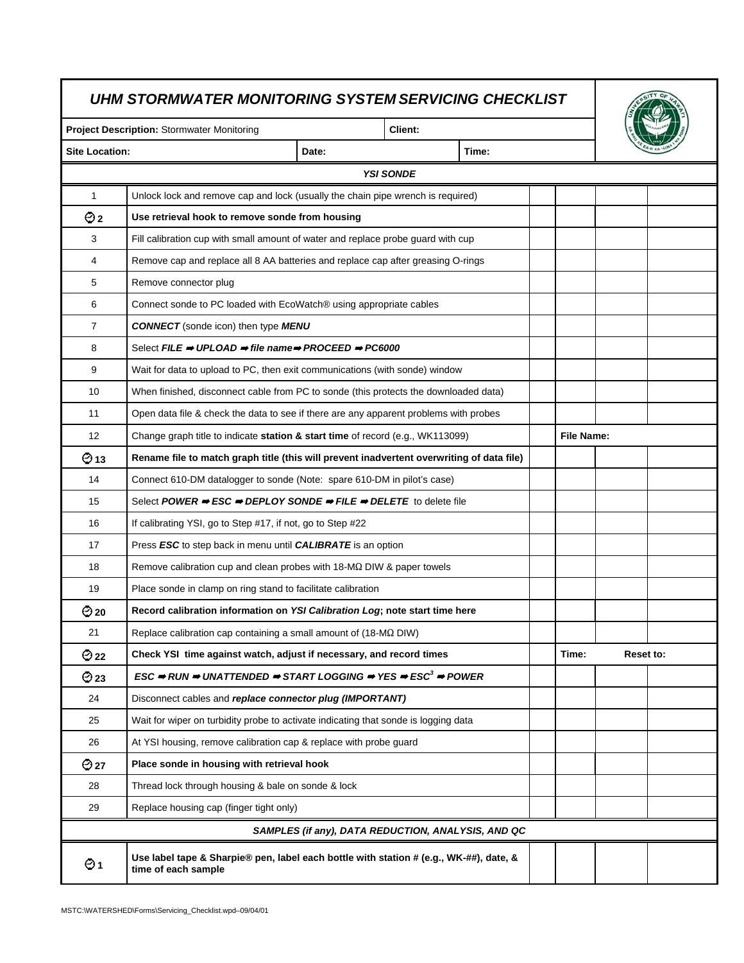| UHM STORMWATER MONITORING SYSTEM SERVICING CHECKLIST |                                                                                                                                                        |                                                    |                  |                   |  |       |           |  |  |
|------------------------------------------------------|--------------------------------------------------------------------------------------------------------------------------------------------------------|----------------------------------------------------|------------------|-------------------|--|-------|-----------|--|--|
|                                                      | <b>Project Description: Stormwater Monitoring</b>                                                                                                      |                                                    | Client:          |                   |  |       |           |  |  |
| <b>Site Location:</b>                                |                                                                                                                                                        | Date:                                              | Time:            |                   |  |       |           |  |  |
|                                                      |                                                                                                                                                        |                                                    | <b>YSI SONDE</b> |                   |  |       |           |  |  |
| $\mathbf{1}$                                         | Unlock lock and remove cap and lock (usually the chain pipe wrench is required)                                                                        |                                                    |                  |                   |  |       |           |  |  |
| $\odot$ 2                                            | Use retrieval hook to remove sonde from housing                                                                                                        |                                                    |                  |                   |  |       |           |  |  |
| 3                                                    | Fill calibration cup with small amount of water and replace probe guard with cup                                                                       |                                                    |                  |                   |  |       |           |  |  |
| 4                                                    | Remove cap and replace all 8 AA batteries and replace cap after greasing O-rings                                                                       |                                                    |                  |                   |  |       |           |  |  |
| 5                                                    | Remove connector plug                                                                                                                                  |                                                    |                  |                   |  |       |           |  |  |
| 6                                                    | Connect sonde to PC loaded with EcoWatch® using appropriate cables                                                                                     |                                                    |                  |                   |  |       |           |  |  |
| 7                                                    | <b>CONNECT</b> (sonde icon) then type MENU                                                                                                             |                                                    |                  |                   |  |       |           |  |  |
| 8                                                    | Select FILE $\Rightarrow$ UPLOAD $\Rightarrow$ file name $\Rightarrow$ PROCEED $\Rightarrow$ PC6000                                                    |                                                    |                  |                   |  |       |           |  |  |
| 9                                                    | Wait for data to upload to PC, then exit communications (with sonde) window                                                                            |                                                    |                  |                   |  |       |           |  |  |
| 10                                                   | When finished, disconnect cable from PC to sonde (this protects the downloaded data)                                                                   |                                                    |                  |                   |  |       |           |  |  |
| 11                                                   | Open data file & check the data to see if there are any apparent problems with probes                                                                  |                                                    |                  |                   |  |       |           |  |  |
| 12                                                   | Change graph title to indicate station & start time of record (e.g., WK113099)                                                                         |                                                    |                  | <b>File Name:</b> |  |       |           |  |  |
| $\Theta$ 13                                          | Rename file to match graph title (this will prevent inadvertent overwriting of data file)                                                              |                                                    |                  |                   |  |       |           |  |  |
| 14                                                   | Connect 610-DM datalogger to sonde (Note: spare 610-DM in pilot's case)                                                                                |                                                    |                  |                   |  |       |           |  |  |
| 15                                                   | Select POWER $\Rightarrow$ ESC $\Rightarrow$ DEPLOY SONDE $\Rightarrow$ FILE $\Rightarrow$ DELETE to delete file                                       |                                                    |                  |                   |  |       |           |  |  |
| 16                                                   | If calibrating YSI, go to Step #17, if not, go to Step #22                                                                                             |                                                    |                  |                   |  |       |           |  |  |
| 17                                                   | Press ESC to step back in menu until CALIBRATE is an option                                                                                            |                                                    |                  |                   |  |       |           |  |  |
| 18                                                   | Remove calibration cup and clean probes with 18-MQ DIW & paper towels                                                                                  |                                                    |                  |                   |  |       |           |  |  |
| 19                                                   | Place sonde in clamp on ring stand to facilitate calibration                                                                                           |                                                    |                  |                   |  |       |           |  |  |
| $\odot$ 20                                           | Record calibration information on YSI Calibration Log; note start time here                                                                            |                                                    |                  |                   |  |       |           |  |  |
| 21                                                   | Replace calibration cap containing a small amount of (18-MΩ DIW)                                                                                       |                                                    |                  |                   |  |       |           |  |  |
| $\bigcirc$ 22                                        | Check YSI time against watch, adjust if necessary, and record times                                                                                    |                                                    |                  |                   |  | Time: | Reset to: |  |  |
| $\odot$ 23                                           | $\text{ESC} \Rightarrow$ RUN $\Rightarrow$ UNATTENDED $\Rightarrow$ START LOGGING $\Rightarrow$ YES $\Rightarrow$ ESC <sup>3</sup> $\Rightarrow$ POWER |                                                    |                  |                   |  |       |           |  |  |
| 24                                                   | Disconnect cables and replace connector plug (IMPORTANT)                                                                                               |                                                    |                  |                   |  |       |           |  |  |
| 25                                                   | Wait for wiper on turbidity probe to activate indicating that sonde is logging data                                                                    |                                                    |                  |                   |  |       |           |  |  |
| 26                                                   | At YSI housing, remove calibration cap & replace with probe guard                                                                                      |                                                    |                  |                   |  |       |           |  |  |
| $\bigodot$ 27                                        | Place sonde in housing with retrieval hook                                                                                                             |                                                    |                  |                   |  |       |           |  |  |
| 28                                                   | Thread lock through housing & bale on sonde & lock                                                                                                     |                                                    |                  |                   |  |       |           |  |  |
| 29                                                   | Replace housing cap (finger tight only)                                                                                                                |                                                    |                  |                   |  |       |           |  |  |
|                                                      |                                                                                                                                                        | SAMPLES (if any), DATA REDUCTION, ANALYSIS, AND QC |                  |                   |  |       |           |  |  |
| Θ1                                                   | Use label tape & Sharpie® pen, label each bottle with station # (e.g., WK-##), date, &<br>time of each sample                                          |                                                    |                  |                   |  |       |           |  |  |